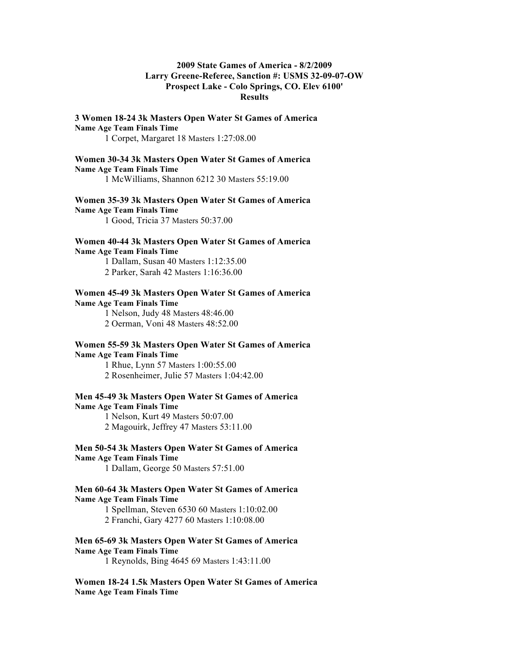# **2009 State Games of America - 8/2/2009 Larry Greene-Referee, Sanction #: USMS 32-09-07-OW Prospect Lake - Colo Springs, CO. Elev 6100' Results**

# **3 Women 18-24 3k Masters Open Water St Games of America Name Age Team Finals Time**

1 Corpet, Margaret 18 Masters 1:27:08.00

### **Women 30-34 3k Masters Open Water St Games of America Name Age Team Finals Time**

1 McWilliams, Shannon 6212 30 Masters 55:19.00

# **Women 35-39 3k Masters Open Water St Games of America Name Age Team Finals Time**

1 Good, Tricia 37 Masters 50:37.00

## **Women 40-44 3k Masters Open Water St Games of America Name Age Team Finals Time**

1 Dallam, Susan 40 Masters 1:12:35.00 2 Parker, Sarah 42 Masters 1:16:36.00

## **Women 45-49 3k Masters Open Water St Games of America Name Age Team Finals Time**

1 Nelson, Judy 48 Masters 48:46.00 2 Oerman, Voni 48 Masters 48:52.00

## **Women 55-59 3k Masters Open Water St Games of America Name Age Team Finals Time**

1 Rhue, Lynn 57 Masters 1:00:55.00 2 Rosenheimer, Julie 57 Masters 1:04:42.00

#### **Men 45-49 3k Masters Open Water St Games of America Name Age Team Finals Time**

1 Nelson, Kurt 49 Masters 50:07.00 2 Magouirk, Jeffrey 47 Masters 53:11.00

## **Men 50-54 3k Masters Open Water St Games of America Name Age Team Finals Time**

1 Dallam, George 50 Masters 57:51.00

### **Men 60-64 3k Masters Open Water St Games of America Name Age Team Finals Time**

1 Spellman, Steven 6530 60 Masters 1:10:02.00 2 Franchi, Gary 4277 60 Masters 1:10:08.00

# **Men 65-69 3k Masters Open Water St Games of America**

**Name Age Team Finals Time**

1 Reynolds, Bing 4645 69 Masters 1:43:11.00

**Women 18-24 1.5k Masters Open Water St Games of America Name Age Team Finals Time**